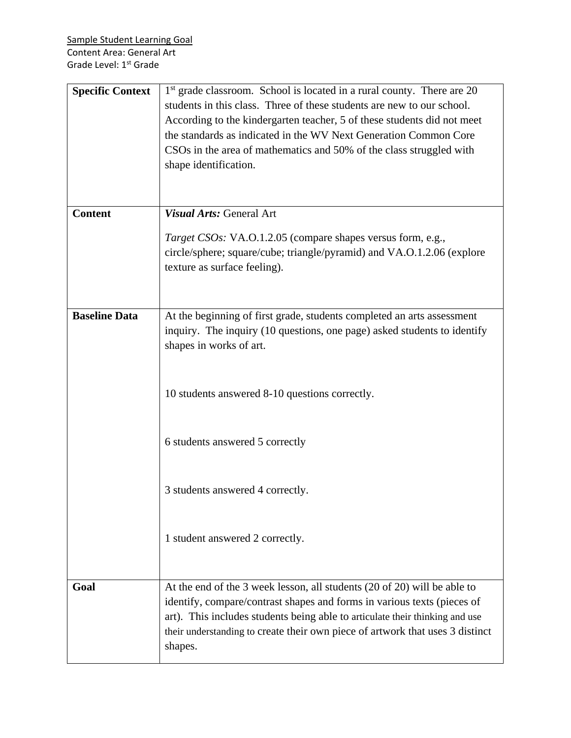| <b>Specific Context</b> | 1 <sup>st</sup> grade classroom. School is located in a rural county. There are 20<br>students in this class. Three of these students are new to our school.<br>According to the kindergarten teacher, 5 of these students did not meet<br>the standards as indicated in the WV Next Generation Common Core<br>CSOs in the area of mathematics and 50% of the class struggled with<br>shape identification. |
|-------------------------|-------------------------------------------------------------------------------------------------------------------------------------------------------------------------------------------------------------------------------------------------------------------------------------------------------------------------------------------------------------------------------------------------------------|
| <b>Content</b>          | Visual Arts: General Art                                                                                                                                                                                                                                                                                                                                                                                    |
|                         | Target CSOs: VA.O.1.2.05 (compare shapes versus form, e.g.,<br>circle/sphere; square/cube; triangle/pyramid) and VA.O.1.2.06 (explore<br>texture as surface feeling).                                                                                                                                                                                                                                       |
| <b>Baseline Data</b>    | At the beginning of first grade, students completed an arts assessment<br>inquiry. The inquiry (10 questions, one page) asked students to identify<br>shapes in works of art.                                                                                                                                                                                                                               |
|                         | 10 students answered 8-10 questions correctly.                                                                                                                                                                                                                                                                                                                                                              |
|                         | 6 students answered 5 correctly                                                                                                                                                                                                                                                                                                                                                                             |
|                         | 3 students answered 4 correctly.                                                                                                                                                                                                                                                                                                                                                                            |
|                         | 1 student answered 2 correctly.                                                                                                                                                                                                                                                                                                                                                                             |
| Goal                    | At the end of the 3 week lesson, all students (20 of 20) will be able to<br>identify, compare/contrast shapes and forms in various texts (pieces of<br>art). This includes students being able to articulate their thinking and use<br>their understanding to create their own piece of artwork that uses 3 distinct<br>shapes.                                                                             |